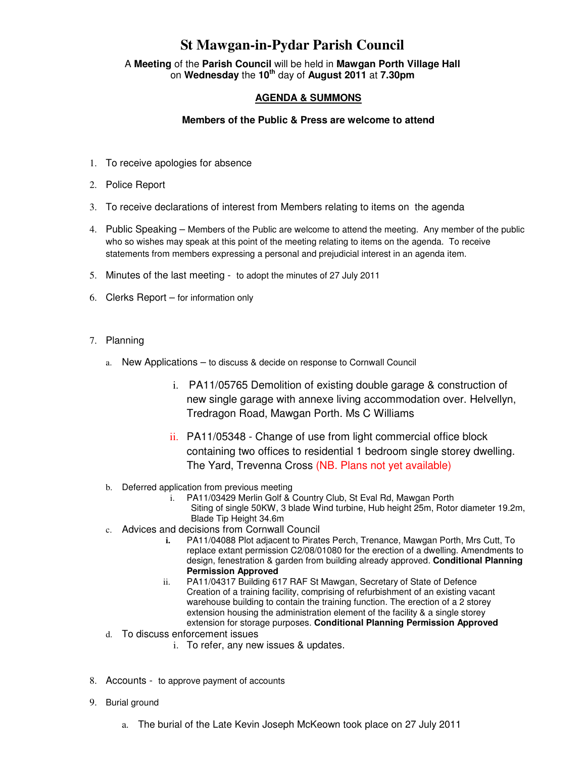## **St Mawgan-in-Pydar Parish Council**

A **Meeting** of the **Parish Council** will be held in **Mawgan Porth Village Hall** on **Wednesday** the **10th** day of **August 2011** at **7.30pm** 

## **AGENDA & SUMMONS**

## **Members of the Public & Press are welcome to attend**

- 1. To receive apologies for absence
- 2. Police Report
- 3. To receive declarations of interest from Members relating to items on the agenda
- 4. Public Speaking Members of the Public are welcome to attend the meeting. Any member of the public who so wishes may speak at this point of the meeting relating to items on the agenda. To receive statements from members expressing a personal and prejudicial interest in an agenda item.
- 5. Minutes of the last meeting to adopt the minutes of 27 July 2011
- 6. Clerks Report for information only
- 7. Planning
	- a. New Applications to discuss & decide on response to Cornwall Council
		- i. PA11/05765 Demolition of existing double garage & construction of new single garage with annexe living accommodation over. Helvellyn, Tredragon Road, Mawgan Porth. Ms C Williams
		- ii. PA11/05348 Change of use from light commercial office block containing two offices to residential 1 bedroom single storey dwelling. The Yard, Trevenna Cross (NB. Plans not yet available)
	- b. Deferred application from previous meeting
		- i. PA11/03429 Merlin Golf & Country Club, St Eval Rd, Mawgan Porth
			- Siting of single 50KW, 3 blade Wind turbine, Hub height 25m, Rotor diameter 19.2m, Blade Tip Height 34.6m
	- c. Advices and decisions from Cornwall Council
		- **i.** PA11/04088 Plot adjacent to Pirates Perch, Trenance, Mawgan Porth, Mrs Cutt, To replace extant permission C2/08/01080 for the erection of a dwelling. Amendments to design, fenestration & garden from building already approved. **Conditional Planning Permission Approved**
		- ii. PA11/04317 Building 617 RAF St Mawgan, Secretary of State of Defence Creation of a training facility, comprising of refurbishment of an existing vacant warehouse building to contain the training function. The erection of a 2 storey extension housing the administration element of the facility & a single storey extension for storage purposes. **Conditional Planning Permission Approved**
	- d. To discuss enforcement issues
		- i. To refer, any new issues & updates.
- 8. Accounts to approve payment of accounts
- 9. Burial ground
	- a. The burial of the Late Kevin Joseph McKeown took place on 27 July 2011